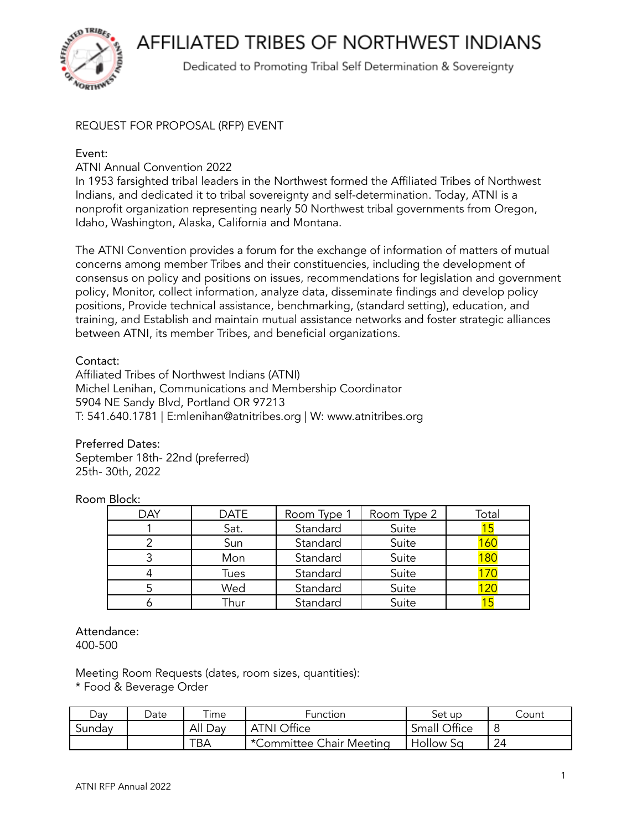**AFFILIATED TRIBES OF NORTHWEST INDIANS** 



Dedicated to Promoting Tribal Self Determination & Sovereignty

## REQUEST FOR PROPOSAL (RFP) EVENT

## Event:

ATNI Annual Convention 2022

In 1953 farsighted tribal leaders in the Northwest formed the Affiliated Tribes of Northwest Indians, and dedicated it to tribal sovereignty and self-determination. Today, ATNI is a nonprofit organization representing nearly 50 Northwest tribal governments from Oregon, Idaho, Washington, Alaska, California and Montana.

The ATNI Convention provides a forum for the exchange of information of matters of mutual concerns among member Tribes and their constituencies, including the development of consensus on policy and positions on issues, recommendations for legislation and government policy, Monitor, collect information, analyze data, disseminate findings and develop policy positions, Provide technical assistance, benchmarking, (standard setting), education, and training, and Establish and maintain mutual assistance networks and foster strategic alliances between ATNI, its member Tribes, and beneficial organizations.

## Contact:

Affiliated Tribes of Northwest Indians (ATNI) Michel Lenihan, Communications and Membership Coordinator 5904 NE Sandy Blvd, Portland OR 97213 T: 541.640.1781 | E:mlenihan@atnitribes.org | W: www.atnitribes.org

Preferred Dates: September 18th- 22nd (preferred) 25th- 30th, 2022

Room Block:

| <b>DAY</b> | <b>DATE</b> | Room Type 1 | Room Type 2 | Total |
|------------|-------------|-------------|-------------|-------|
|            | Sat.        | Standard    | Suite       |       |
|            | Sun         | Standard    | Suite       |       |
|            | Mon         | Standard    | Suite       | 180   |
|            | Tues        | Standard    | Suite       |       |
|            | Wed         | Standard    | Suite       |       |
|            | Thur        | Standard    | Suite       |       |

Attendance: 400-500

Meeting Room Requests (dates, room sizes, quantities):

\* Food & Beverage Order

| Dav    | Date | $\tau$ ime | <b>Function</b>          | Set up           | Count |
|--------|------|------------|--------------------------|------------------|-------|
| Sunday |      | All Day    | <b>ATNI Office</b>       | Small Office     |       |
|        |      | TBA        | *Committee Chair Meeting | <b>Hollow Sa</b> | 24    |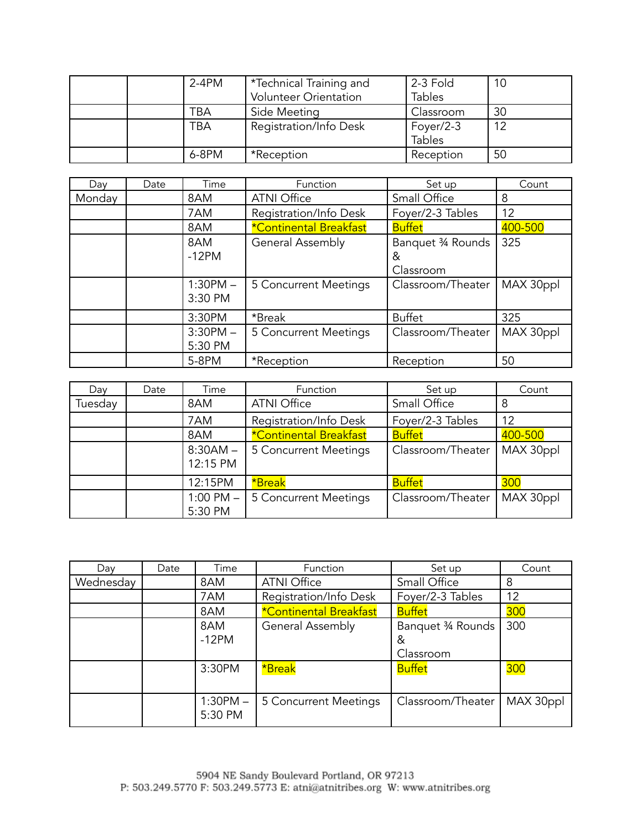|  | $2-4PM$ | *Technical Training and<br><b>Volunteer Orientation</b> | 2-3 Fold<br><b>Tables</b>  | 10 |
|--|---------|---------------------------------------------------------|----------------------------|----|
|  | TBA     | Side Meeting                                            | Classroom                  | 30 |
|  | TBA     | Registration/Info Desk                                  | Foyer/2-3<br><b>Tables</b> | 12 |
|  | 6-8PM   | *Reception                                              | Reception                  | 50 |

| Day    | Date | Time                  | Function                      | Set up                               | Count     |
|--------|------|-----------------------|-------------------------------|--------------------------------------|-----------|
| Monday |      | 8AM                   | <b>ATNI Office</b>            | Small Office                         | 8         |
|        |      | 7AM                   | Registration/Info Desk        | Foyer/2-3 Tables                     | 12        |
|        |      | 8AM                   | <b>*Continental Breakfast</b> | <b>Buffet</b>                        | 400-500   |
|        |      | 8AM<br>$-12PM$        | <b>General Assembly</b>       | Banquet 3⁄4 Rounds<br>&<br>Classroom | 325       |
|        |      | $1:30PM -$<br>3:30 PM | 5 Concurrent Meetings         | Classroom/Theater                    | MAX 30ppl |
|        |      | 3:30PM                | *Break                        | <b>Buffet</b>                        | 325       |
|        |      | $3:30PM -$<br>5:30 PM | 5 Concurrent Meetings         | Classroom/Theater                    | MAX 30ppl |
|        |      | 5-8PM                 | *Reception                    | Reception                            | 50        |

| Day     | Date | Time                     | Function                      | Set up              | Count     |
|---------|------|--------------------------|-------------------------------|---------------------|-----------|
| Tuesday |      | 8AM                      | <b>ATNI Office</b>            | <b>Small Office</b> | 8         |
|         |      | 7AM                      | Registration/Info Desk        | Foyer/2-3 Tables    | 12        |
|         |      | 8AM                      | <b>*Continental Breakfast</b> | <b>Buffet</b>       | 400-500   |
|         |      | $8:30AM -$<br>12:15 PM   | 5 Concurrent Meetings         | Classroom/Theater   | MAX 30ppl |
|         |      | 12:15PM                  | *Break                        | <b>Buffet</b>       | 300       |
|         |      | $1:00$ PM $-$<br>5:30 PM | 5 Concurrent Meetings         | Classroom/Theater   | MAX 30ppl |

| Day       | Date | Time                  | Function                      | Set up                              | Count      |
|-----------|------|-----------------------|-------------------------------|-------------------------------------|------------|
| Wednesday |      | 8AM                   | <b>ATNI Office</b>            | Small Office                        | 8          |
|           |      | 7AM                   | Registration/Info Desk        | Foyer/2-3 Tables                    | 12         |
|           |      | 8AM                   | <b>*Continental Breakfast</b> | <b>Buffet</b>                       | 300        |
|           |      | 8AM<br>$-12PM$        | <b>General Assembly</b>       | Banquet 34 Rounds<br>&<br>Classroom | 300        |
|           |      | 3:30PM                | *Break                        | <b>Buffet</b>                       | <b>300</b> |
|           |      | $1:30PM -$<br>5:30 PM | 5 Concurrent Meetings         | Classroom/Theater                   | MAX 30ppl  |